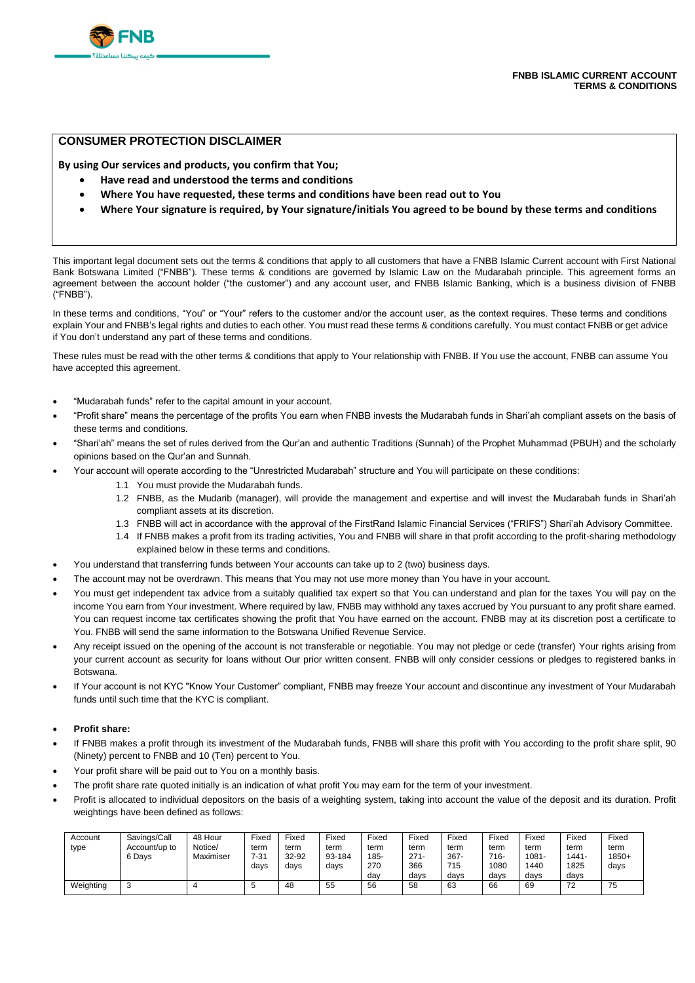

# **CONSUMER PROTECTION DISCLAIMER**

**By using Our services and products, you confirm that You;**

- **Have read and understood the terms and conditions**
- **Where You have requested, these terms and conditions have been read out to You**
- **Where Your signature is required, by Your signature/initials You agreed to be bound by these terms and conditions**

This important legal document sets out the terms & conditions that apply to all customers that have a FNBB Islamic Current account with First National Bank Botswana Limited ("FNBB"). These terms & conditions are governed by Islamic Law on the Mudarabah principle. This agreement forms an agreement between the account holder ("the customer") and any account user, and FNBB Islamic Banking, which is a business division of FNBB ("FNBB").

In these terms and conditions, "You" or "Your" refers to the customer and/or the account user, as the context requires. These terms and conditions explain Your and FNBB's legal rights and duties to each other. You must read these terms & conditions carefully. You must contact FNBB or get advice if You don't understand any part of these terms and conditions.

These rules must be read with the other terms & conditions that apply to Your relationship with FNBB. If You use the account, FNBB can assume You have accepted this agreement.

- "Mudarabah funds" refer to the capital amount in your account.
- "Profit share" means the percentage of the profits You earn when FNBB invests the Mudarabah funds in Shari'ah compliant assets on the basis of these terms and conditions.
- "Shari'ah" means the set of rules derived from the Qur'an and authentic Traditions (Sunnah) of the Prophet Muhammad (PBUH) and the scholarly opinions based on the Qur'an and Sunnah.
	- Your account will operate according to the "Unrestricted Mudarabah" structure and You will participate on these conditions:
		- 1.1 You must provide the Mudarabah funds.
			- 1.2 FNBB, as the Mudarib (manager), will provide the management and expertise and will invest the Mudarabah funds in Shari'ah compliant assets at its discretion.
			- 1.3 FNBB will act in accordance with the approval of the FirstRand Islamic Financial Services ("FRIFS") Shari'ah Advisory Committee.
		- 1.4 If FNBB makes a profit from its trading activities, You and FNBB will share in that profit according to the profit-sharing methodology explained below in these terms and conditions.
- You understand that transferring funds between Your accounts can take up to 2 (two) business days.
- The account may not be overdrawn. This means that You may not use more money than You have in your account.
- You must get independent tax advice from a suitably qualified tax expert so that You can understand and plan for the taxes You will pay on the income You earn from Your investment. Where required by law, FNBB may withhold any taxes accrued by You pursuant to any profit share earned. You can request income tax certificates showing the profit that You have earned on the account. FNBB may at its discretion post a certificate to You. FNBB will send the same information to the Botswana Unified Revenue Service.
- Any receipt issued on the opening of the account is not transferable or negotiable. You may not pledge or cede (transfer) Your rights arising from your current account as security for loans without Our prior written consent. FNBB will only consider cessions or pledges to registered banks in Botswana.
- If Your account is not KYC "Know Your Customer" compliant, FNBB may freeze Your account and discontinue any investment of Your Mudarabah funds until such time that the KYC is compliant.

### • **Profit share:**

- If FNBB makes a profit through its investment of the Mudarabah funds, FNBB will share this profit with You according to the profit share split, 90 (Ninety) percent to FNBB and 10 (Ten) percent to You.
- Your profit share will be paid out to You on a monthly basis.
- The profit share rate quoted initially is an indication of what profit You may earn for the term of your investment.
- Profit is allocated to individual depositors on the basis of a weighting system, taking into account the value of the deposit and its duration. Profit weightings have been defined as follows:

| Account<br>type | Savings/Call<br>Account/up to<br>6 Davs | 48 Hour<br>Notice/<br>Maximiser | Fixed<br>term<br>$7 - 31$<br>davs | Fixed<br>term<br>32-92<br>davs | Fixed<br>term<br>93-184<br>davs | Fixed<br>term<br>185-<br>270<br>dav | Fixed<br>term<br>$271 -$<br>366<br>days | Fixed<br>term<br>$367 -$<br>715<br>davs | Fixed<br>term<br>$716 -$<br>1080<br>davs | Fixed<br>term<br>1081-<br>1440<br>davs | Fixed<br>term<br>1441-<br>1825<br>davs | Fixed<br>term<br>$1850+$<br>days |
|-----------------|-----------------------------------------|---------------------------------|-----------------------------------|--------------------------------|---------------------------------|-------------------------------------|-----------------------------------------|-----------------------------------------|------------------------------------------|----------------------------------------|----------------------------------------|----------------------------------|
| Weighting       | N                                       |                                 | ັ                                 | 48                             | 55                              | 56                                  | 58                                      | 63                                      | 66                                       | 69                                     | 72                                     | 75                               |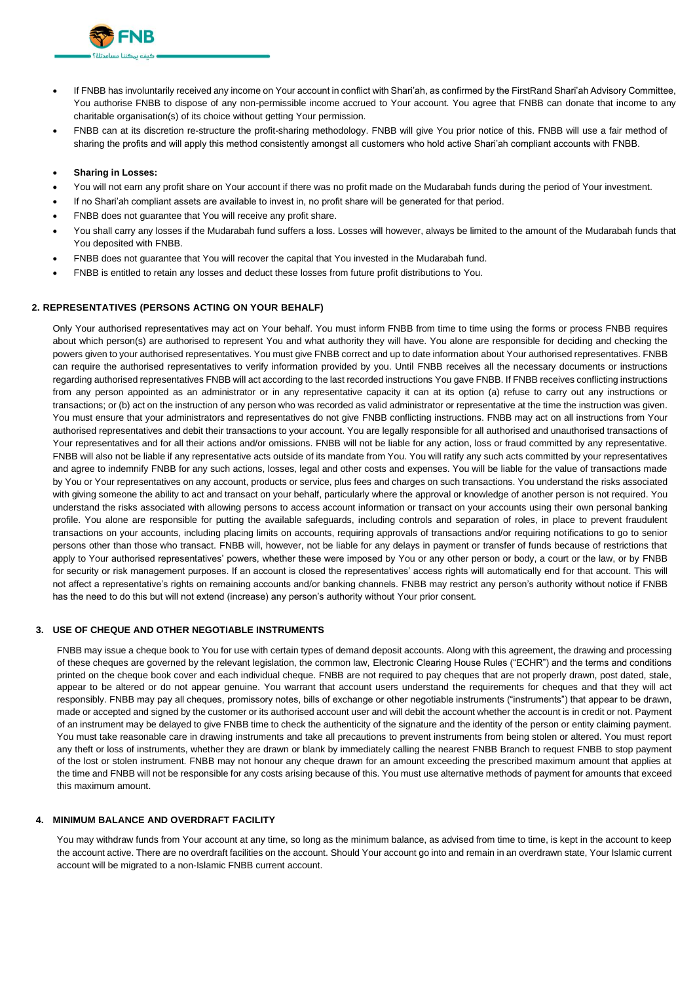

- If FNBB has involuntarily received any income on Your account in conflict with Shari'ah, as confirmed by the FirstRand Shari'ah Advisory Committee, You authorise FNBB to dispose of any non-permissible income accrued to Your account. You agree that FNBB can donate that income to any charitable organisation(s) of its choice without getting Your permission.
- FNBB can at its discretion re-structure the profit-sharing methodology. FNBB will give You prior notice of this. FNBB will use a fair method of sharing the profits and will apply this method consistently amongst all customers who hold active Shari'ah compliant accounts with FNBB.
- **Sharing in Losses:**
- You will not earn any profit share on Your account if there was no profit made on the Mudarabah funds during the period of Your investment.
- If no Shari'ah compliant assets are available to invest in, no profit share will be generated for that period.
- FNBB does not guarantee that You will receive any profit share.
- You shall carry any losses if the Mudarabah fund suffers a loss. Losses will however, always be limited to the amount of the Mudarabah funds that You deposited with FNBB.
- FNBB does not guarantee that You will recover the capital that You invested in the Mudarabah fund.
- FNBB is entitled to retain any losses and deduct these losses from future profit distributions to You.

### **2. REPRESENTATIVES (PERSONS ACTING ON YOUR BEHALF)**

Only Your authorised representatives may act on Your behalf. You must inform FNBB from time to time using the forms or process FNBB requires about which person(s) are authorised to represent You and what authority they will have. You alone are responsible for deciding and checking the powers given to your authorised representatives. You must give FNBB correct and up to date information about Your authorised representatives. FNBB can require the authorised representatives to verify information provided by you. Until FNBB receives all the necessary documents or instructions regarding authorised representatives FNBB will act according to the last recorded instructions You gave FNBB. If FNBB receives conflicting instructions from any person appointed as an administrator or in any representative capacity it can at its option (a) refuse to carry out any instructions or transactions; or (b) act on the instruction of any person who was recorded as valid administrator or representative at the time the instruction was given. You must ensure that your administrators and representatives do not give FNBB conflicting instructions. FNBB may act on all instructions from Your authorised representatives and debit their transactions to your account. You are legally responsible for all authorised and unauthorised transactions of Your representatives and for all their actions and/or omissions. FNBB will not be liable for any action, loss or fraud committed by any representative. FNBB will also not be liable if any representative acts outside of its mandate from You. You will ratify any such acts committed by your representatives and agree to indemnify FNBB for any such actions, losses, legal and other costs and expenses. You will be liable for the value of transactions made by You or Your representatives on any account, products or service, plus fees and charges on such transactions. You understand the risks associated with giving someone the ability to act and transact on your behalf, particularly where the approval or knowledge of another person is not required. You understand the risks associated with allowing persons to access account information or transact on your accounts using their own personal banking profile. You alone are responsible for putting the available safeguards, including controls and separation of roles, in place to prevent fraudulent transactions on your accounts, including placing limits on accounts, requiring approvals of transactions and/or requiring notifications to go to senior persons other than those who transact. FNBB will, however, not be liable for any delays in payment or transfer of funds because of restrictions that apply to Your authorised representatives' powers, whether these were imposed by You or any other person or body, a court or the law, or by FNBB for security or risk management purposes. If an account is closed the representatives' access rights will automatically end for that account. This will not affect a representative's rights on remaining accounts and/or banking channels. FNBB may restrict any person's authority without notice if FNBB has the need to do this but will not extend (increase) any person's authority without Your prior consent.

### **3. USE OF CHEQUE AND OTHER NEGOTIABLE INSTRUMENTS**

FNBB may issue a cheque book to You for use with certain types of demand deposit accounts. Along with this agreement, the drawing and processing of these cheques are governed by the relevant legislation, the common law, Electronic Clearing House Rules ("ECHR") and the terms and conditions printed on the cheque book cover and each individual cheque. FNBB are not required to pay cheques that are not properly drawn, post dated, stale, appear to be altered or do not appear genuine. You warrant that account users understand the requirements for cheques and that they will act responsibly. FNBB may pay all cheques, promissory notes, bills of exchange or other negotiable instruments ("instruments") that appear to be drawn, made or accepted and signed by the customer or its authorised account user and will debit the account whether the account is in credit or not. Payment of an instrument may be delayed to give FNBB time to check the authenticity of the signature and the identity of the person or entity claiming payment. You must take reasonable care in drawing instruments and take all precautions to prevent instruments from being stolen or altered. You must report any theft or loss of instruments, whether they are drawn or blank by immediately calling the nearest FNBB Branch to request FNBB to stop payment of the lost or stolen instrument. FNBB may not honour any cheque drawn for an amount exceeding the prescribed maximum amount that applies at the time and FNBB will not be responsible for any costs arising because of this. You must use alternative methods of payment for amounts that exceed this maximum amount.

### **4. MINIMUM BALANCE AND OVERDRAFT FACILITY**

You may withdraw funds from Your account at any time, so long as the minimum balance, as advised from time to time, is kept in the account to keep the account active. There are no overdraft facilities on the account. Should Your account go into and remain in an overdrawn state, Your Islamic current account will be migrated to a non-Islamic FNBB current account.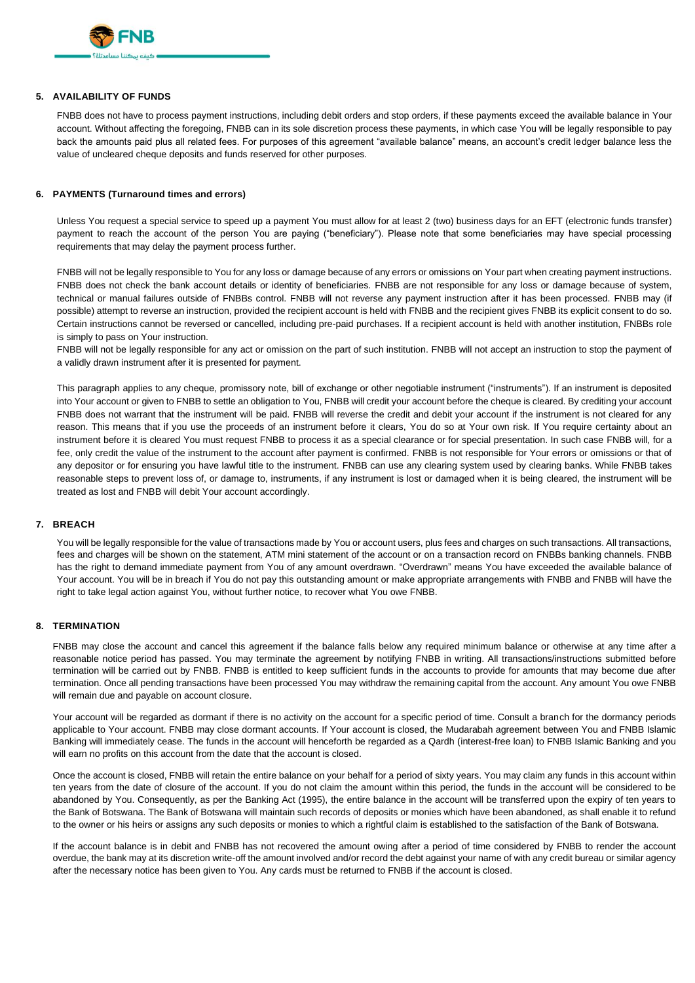

## **5. AVAILABILITY OF FUNDS**

FNBB does not have to process payment instructions, including debit orders and stop orders, if these payments exceed the available balance in Your account. Without affecting the foregoing, FNBB can in its sole discretion process these payments, in which case You will be legally responsible to pay back the amounts paid plus all related fees. For purposes of this agreement "available balance" means, an account's credit ledger balance less the value of uncleared cheque deposits and funds reserved for other purposes.

### **6. PAYMENTS (Turnaround times and errors)**

Unless You request a special service to speed up a payment You must allow for at least 2 (two) business days for an EFT (electronic funds transfer) payment to reach the account of the person You are paying ("beneficiary"). Please note that some beneficiaries may have special processing requirements that may delay the payment process further.

FNBB will not be legally responsible to You for any loss or damage because of any errors or omissions on Your part when creating payment instructions. FNBB does not check the bank account details or identity of beneficiaries. FNBB are not responsible for any loss or damage because of system, technical or manual failures outside of FNBBs control. FNBB will not reverse any payment instruction after it has been processed. FNBB may (if possible) attempt to reverse an instruction, provided the recipient account is held with FNBB and the recipient gives FNBB its explicit consent to do so. Certain instructions cannot be reversed or cancelled, including pre-paid purchases. If a recipient account is held with another institution, FNBBs role is simply to pass on Your instruction.

FNBB will not be legally responsible for any act or omission on the part of such institution. FNBB will not accept an instruction to stop the payment of a validly drawn instrument after it is presented for payment.

This paragraph applies to any cheque, promissory note, bill of exchange or other negotiable instrument ("instruments"). If an instrument is deposited into Your account or given to FNBB to settle an obligation to You, FNBB will credit your account before the cheque is cleared. By crediting your account FNBB does not warrant that the instrument will be paid. FNBB will reverse the credit and debit your account if the instrument is not cleared for any reason. This means that if you use the proceeds of an instrument before it clears, You do so at Your own risk. If You require certainty about an instrument before it is cleared You must request FNBB to process it as a special clearance or for special presentation. In such case FNBB will, for a fee, only credit the value of the instrument to the account after payment is confirmed. FNBB is not responsible for Your errors or omissions or that of any depositor or for ensuring you have lawful title to the instrument. FNBB can use any clearing system used by clearing banks. While FNBB takes reasonable steps to prevent loss of, or damage to, instruments, if any instrument is lost or damaged when it is being cleared, the instrument will be treated as lost and FNBB will debit Your account accordingly.

### **7. BREACH**

You will be legally responsible for the value of transactions made by You or account users, plus fees and charges on such transactions. All transactions, fees and charges will be shown on the statement, ATM mini statement of the account or on a transaction record on FNBBs banking channels. FNBB has the right to demand immediate payment from You of any amount overdrawn. "Overdrawn" means You have exceeded the available balance of Your account. You will be in breach if You do not pay this outstanding amount or make appropriate arrangements with FNBB and FNBB will have the right to take legal action against You, without further notice, to recover what You owe FNBB.

### **8. TERMINATION**

FNBB may close the account and cancel this agreement if the balance falls below any required minimum balance or otherwise at any time after a reasonable notice period has passed. You may terminate the agreement by notifying FNBB in writing. All transactions/instructions submitted before termination will be carried out by FNBB. FNBB is entitled to keep sufficient funds in the accounts to provide for amounts that may become due after termination. Once all pending transactions have been processed You may withdraw the remaining capital from the account. Any amount You owe FNBB will remain due and payable on account closure.

Your account will be regarded as dormant if there is no activity on the account for a specific period of time. Consult a branch for the dormancy periods applicable to Your account. FNBB may close dormant accounts. If Your account is closed, the Mudarabah agreement between You and FNBB Islamic Banking will immediately cease. The funds in the account will henceforth be regarded as a Qardh (interest-free loan) to FNBB Islamic Banking and you will earn no profits on this account from the date that the account is closed.

Once the account is closed, FNBB will retain the entire balance on your behalf for a period of sixty years. You may claim any funds in this account within ten years from the date of closure of the account. If you do not claim the amount within this period, the funds in the account will be considered to be abandoned by You. Consequently, as per the Banking Act (1995), the entire balance in the account will be transferred upon the expiry of ten years to the Bank of Botswana. The Bank of Botswana will maintain such records of deposits or monies which have been abandoned, as shall enable it to refund to the owner or his heirs or assigns any such deposits or monies to which a rightful claim is established to the satisfaction of the Bank of Botswana.

If the account balance is in debit and FNBB has not recovered the amount owing after a period of time considered by FNBB to render the account overdue, the bank may at its discretion write-off the amount involved and/or record the debt against your name of with any credit bureau or similar agency after the necessary notice has been given to You. Any cards must be returned to FNBB if the account is closed.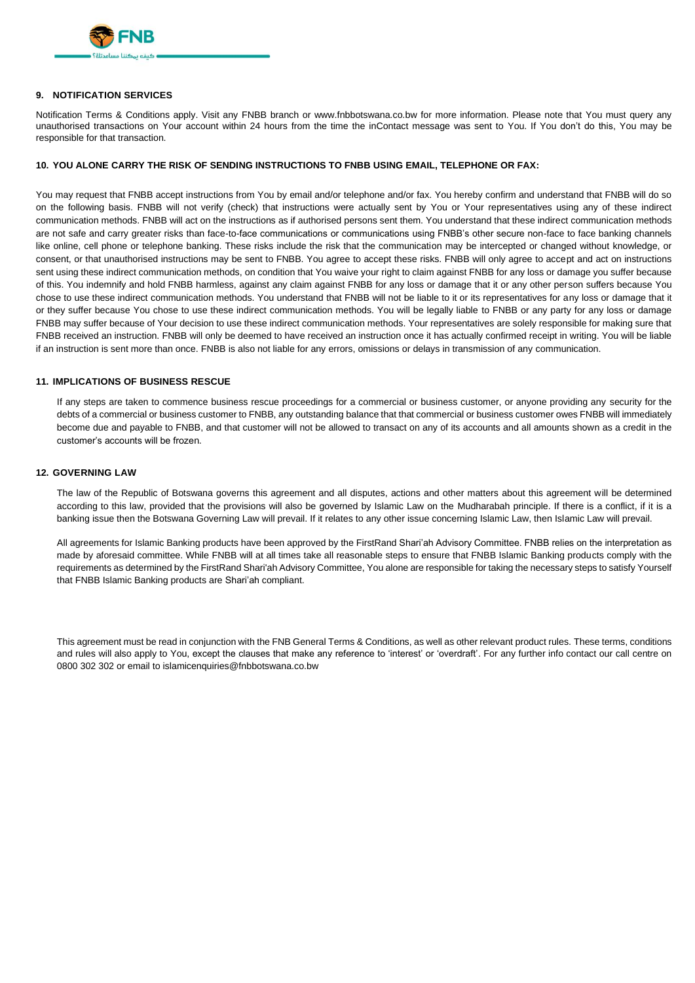

## **9. NOTIFICATION SERVICES**

Notification Terms & Conditions apply. Visit any FNBB branch or www.fnbbotswana.co.bw for more information. Please note that You must query any unauthorised transactions on Your account within 24 hours from the time the inContact message was sent to You. If You don't do this, You may be responsible for that transaction.

### **10. YOU ALONE CARRY THE RISK OF SENDING INSTRUCTIONS TO FNBB USING EMAIL, TELEPHONE OR FAX:**

You may request that FNBB accept instructions from You by email and/or telephone and/or fax. You hereby confirm and understand that FNBB will do so on the following basis. FNBB will not verify (check) that instructions were actually sent by You or Your representatives using any of these indirect communication methods. FNBB will act on the instructions as if authorised persons sent them. You understand that these indirect communication methods are not safe and carry greater risks than face-to-face communications or communications using FNBB's other secure non-face to face banking channels like online, cell phone or telephone banking. These risks include the risk that the communication may be intercepted or changed without knowledge, or consent, or that unauthorised instructions may be sent to FNBB. You agree to accept these risks. FNBB will only agree to accept and act on instructions sent using these indirect communication methods, on condition that You waive your right to claim against FNBB for any loss or damage you suffer because of this. You indemnify and hold FNBB harmless, against any claim against FNBB for any loss or damage that it or any other person suffers because You chose to use these indirect communication methods. You understand that FNBB will not be liable to it or its representatives for any loss or damage that it or they suffer because You chose to use these indirect communication methods. You will be legally liable to FNBB or any party for any loss or damage FNBB may suffer because of Your decision to use these indirect communication methods. Your representatives are solely responsible for making sure that FNBB received an instruction. FNBB will only be deemed to have received an instruction once it has actually confirmed receipt in writing. You will be liable if an instruction is sent more than once. FNBB is also not liable for any errors, omissions or delays in transmission of any communication.

### **11. IMPLICATIONS OF BUSINESS RESCUE**

If any steps are taken to commence business rescue proceedings for a commercial or business customer, or anyone providing any security for the debts of a commercial or business customer to FNBB, any outstanding balance that that commercial or business customer owes FNBB will immediately become due and payable to FNBB, and that customer will not be allowed to transact on any of its accounts and all amounts shown as a credit in the customer's accounts will be frozen.

### **12. GOVERNING LAW**

The law of the Republic of Botswana governs this agreement and all disputes, actions and other matters about this agreement will be determined according to this law, provided that the provisions will also be governed by Islamic Law on the Mudharabah principle. If there is a conflict, if it is a banking issue then the Botswana Governing Law will prevail. If it relates to any other issue concerning Islamic Law, then Islamic Law will prevail.

All agreements for Islamic Banking products have been approved by the FirstRand Shari'ah Advisory Committee. FNBB relies on the interpretation as made by aforesaid committee. While FNBB will at all times take all reasonable steps to ensure that FNBB Islamic Banking products comply with the requirements as determined by the FirstRand Shari'ah Advisory Committee, You alone are responsible for taking the necessary steps to satisfy Yourself that FNBB Islamic Banking products are Shari'ah compliant.

This agreement must be read in conjunction with the FNB General Terms & Conditions, as well as other relevant product rules. These terms, conditions and rules will also apply to You, except the clauses that make any reference to 'interest' or 'overdraft'. For any further info contact our call centre on 0800 302 302 or email to islamicenquiries@fnbbotswana.co.bw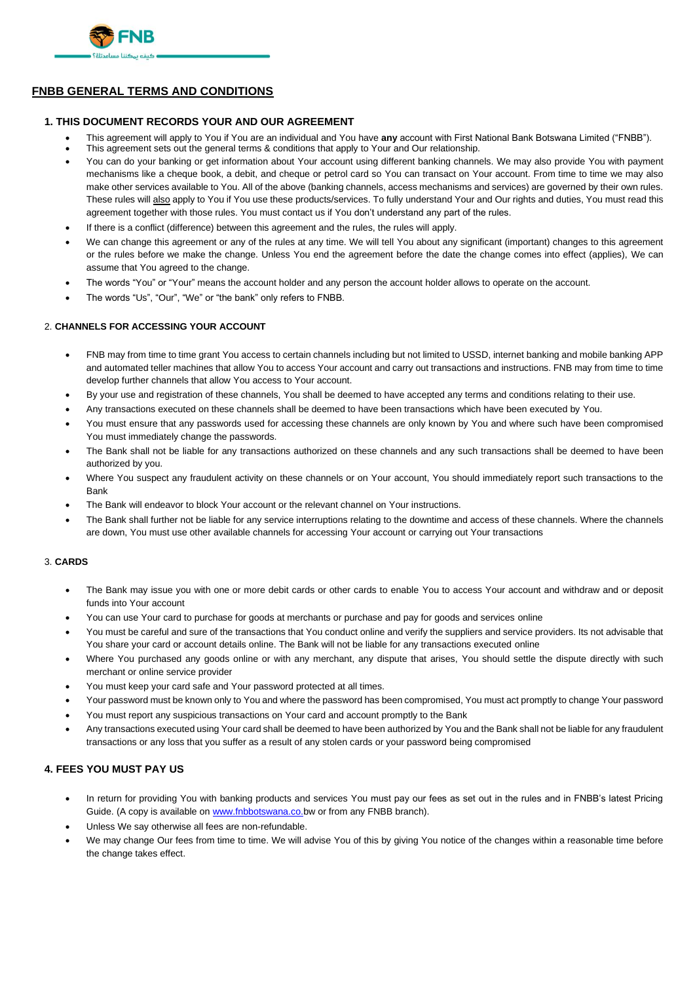

# **FNBB GENERAL TERMS AND CONDITIONS**

## **1. THIS DOCUMENT RECORDS YOUR AND OUR AGREEMENT**

- This agreement will apply to You if You are an individual and You have **any** account with First National Bank Botswana Limited ("FNBB").
- This agreement sets out the general terms & conditions that apply to Your and Our relationship.
- You can do your banking or get information about Your account using different banking channels. We may also provide You with payment mechanisms like a cheque book, a debit, and cheque or petrol card so You can transact on Your account. From time to time we may also make other services available to You. All of the above (banking channels, access mechanisms and services) are governed by their own rules. These rules will also apply to You if You use these products/services. To fully understand Your and Our rights and duties, You must read this agreement together with those rules. You must contact us if You don't understand any part of the rules.
- If there is a conflict (difference) between this agreement and the rules, the rules will apply.
- We can change this agreement or any of the rules at any time. We will tell You about any significant (important) changes to this agreement or the rules before we make the change. Unless You end the agreement before the date the change comes into effect (applies), We can assume that You agreed to the change.
- The words "You" or "Your" means the account holder and any person the account holder allows to operate on the account.
- The words "Us", "Our", "We" or "the bank" only refers to FNBB.

## 2. **CHANNELS FOR ACCESSING YOUR ACCOUNT**

- FNB may from time to time grant You access to certain channels including but not limited to USSD, internet banking and mobile banking APP and automated teller machines that allow You to access Your account and carry out transactions and instructions. FNB may from time to time develop further channels that allow You access to Your account.
- By your use and registration of these channels, You shall be deemed to have accepted any terms and conditions relating to their use.
- Any transactions executed on these channels shall be deemed to have been transactions which have been executed by You.
- You must ensure that any passwords used for accessing these channels are only known by You and where such have been compromised You must immediately change the passwords.
- The Bank shall not be liable for any transactions authorized on these channels and any such transactions shall be deemed to have been authorized by you.
- Where You suspect any fraudulent activity on these channels or on Your account, You should immediately report such transactions to the Bank
- The Bank will endeavor to block Your account or the relevant channel on Your instructions.
- The Bank shall further not be liable for any service interruptions relating to the downtime and access of these channels. Where the channels are down, You must use other available channels for accessing Your account or carrying out Your transactions

### 3. **CARDS**

- The Bank may issue you with one or more debit cards or other cards to enable You to access Your account and withdraw and or deposit funds into Your account
- You can use Your card to purchase for goods at merchants or purchase and pay for goods and services online
- You must be careful and sure of the transactions that You conduct online and verify the suppliers and service providers. Its not advisable that You share your card or account details online. The Bank will not be liable for any transactions executed online
- Where You purchased any goods online or with any merchant, any dispute that arises, You should settle the dispute directly with such merchant or online service provider
- You must keep your card safe and Your password protected at all times.
- Your password must be known only to You and where the password has been compromised, You must act promptly to change Your password
- You must report any suspicious transactions on Your card and account promptly to the Bank
- Any transactions executed using Your card shall be deemed to have been authorized by You and the Bank shall not be liable for any fraudulent transactions or any loss that you suffer as a result of any stolen cards or your password being compromised

# **4. FEES YOU MUST PAY US**

- In return for providing You with banking products and services You must pay our fees as set out in the rules and in FNBB's latest Pricing Guide. (A copy is available on www.fnbbotswana.co.bw or from any FNBB branch).
- Unless We say otherwise all fees are non-refundable.
- We may change Our fees from time to time. We will advise You of this by giving You notice of the changes within a reasonable time before the change takes effect.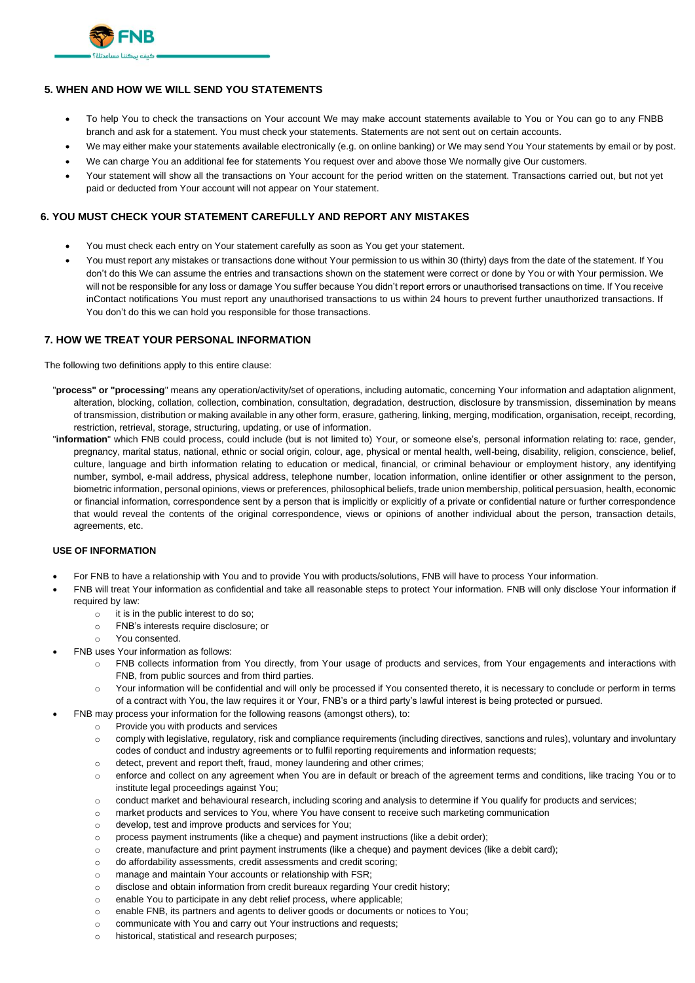

# **5. WHEN AND HOW WE WILL SEND YOU STATEMENTS**

- To help You to check the transactions on Your account We may make account statements available to You or You can go to any FNBB branch and ask for a statement. You must check your statements. Statements are not sent out on certain accounts.
- We may either make your statements available electronically (e.g. on online banking) or We may send You Your statements by email or by post.
- We can charge You an additional fee for statements You request over and above those We normally give Our customers.
- Your statement will show all the transactions on Your account for the period written on the statement. Transactions carried out, but not yet paid or deducted from Your account will not appear on Your statement.

## **6. YOU MUST CHECK YOUR STATEMENT CAREFULLY AND REPORT ANY MISTAKES**

- You must check each entry on Your statement carefully as soon as You get your statement.
- You must report any mistakes or transactions done without Your permission to us within 30 (thirty) days from the date of the statement. If You don't do this We can assume the entries and transactions shown on the statement were correct or done by You or with Your permission. We will not be responsible for any loss or damage You suffer because You didn't report errors or unauthorised transactions on time. If You receive inContact notifications You must report any unauthorised transactions to us within 24 hours to prevent further unauthorized transactions. If You don't do this we can hold you responsible for those transactions.

## **7. HOW WE TREAT YOUR PERSONAL INFORMATION**

The following two definitions apply to this entire clause:

- "**process" or "processing**" means any operation/activity/set of operations, including automatic, concerning Your information and adaptation alignment, alteration, blocking, collation, collection, combination, consultation, degradation, destruction, disclosure by transmission, dissemination by means of transmission, distribution or making available in any other form, erasure, gathering, linking, merging, modification, organisation, receipt, recording, restriction, retrieval, storage, structuring, updating, or use of information.
- "**information**" which FNB could process, could include (but is not limited to) Your, or someone else's, personal information relating to: race, gender, pregnancy, marital status, national, ethnic or social origin, colour, age, physical or mental health, well-being, disability, religion, conscience, belief, culture, language and birth information relating to education or medical, financial, or criminal behaviour or employment history, any identifying number, symbol, e-mail address, physical address, telephone number, location information, online identifier or other assignment to the person, biometric information, personal opinions, views or preferences, philosophical beliefs, trade union membership, political persuasion, health, economic or financial information, correspondence sent by a person that is implicitly or explicitly of a private or confidential nature or further correspondence that would reveal the contents of the original correspondence, views or opinions of another individual about the person, transaction details, agreements, etc.

### **USE OF INFORMATION**

- For FNB to have a relationship with You and to provide You with products/solutions, FNB will have to process Your information.
- FNB will treat Your information as confidential and take all reasonable steps to protect Your information. FNB will only disclose Your information if required by law:
	- o it is in the public interest to do so;
	- o FNB's interests require disclosure; or
	- o You consented.
	- FNB uses Your information as follows:
		- o FNB collects information from You directly, from Your usage of products and services, from Your engagements and interactions with FNB, from public sources and from third parties.
		- o Your information will be confidential and will only be processed if You consented thereto, it is necessary to conclude or perform in terms of a contract with You, the law requires it or Your, FNB's or a third party's lawful interest is being protected or pursued.
		- FNB may process your information for the following reasons (amongst others), to:
			- o Provide you with products and services
				- o comply with legislative, regulatory, risk and compliance requirements (including directives, sanctions and rules), voluntary and involuntary codes of conduct and industry agreements or to fulfil reporting requirements and information requests;
				- o detect, prevent and report theft, fraud, money laundering and other crimes;
				- o enforce and collect on any agreement when You are in default or breach of the agreement terms and conditions, like tracing You or to institute legal proceedings against You;
				- o conduct market and behavioural research, including scoring and analysis to determine if You qualify for products and services;
				- o market products and services to You, where You have consent to receive such marketing communication
				- o develop, test and improve products and services for You;
				- o process payment instruments (like a cheque) and payment instructions (like a debit order);
				- o create, manufacture and print payment instruments (like a cheque) and payment devices (like a debit card);
				- o do affordability assessments, credit assessments and credit scoring;
				- o manage and maintain Your accounts or relationship with FSR;
				- o disclose and obtain information from credit bureaux regarding Your credit history;
				- o enable You to participate in any debt relief process, where applicable;
				- o enable FNB, its partners and agents to deliver goods or documents or notices to You;
			- o communicate with You and carry out Your instructions and requests;
			- o historical, statistical and research purposes;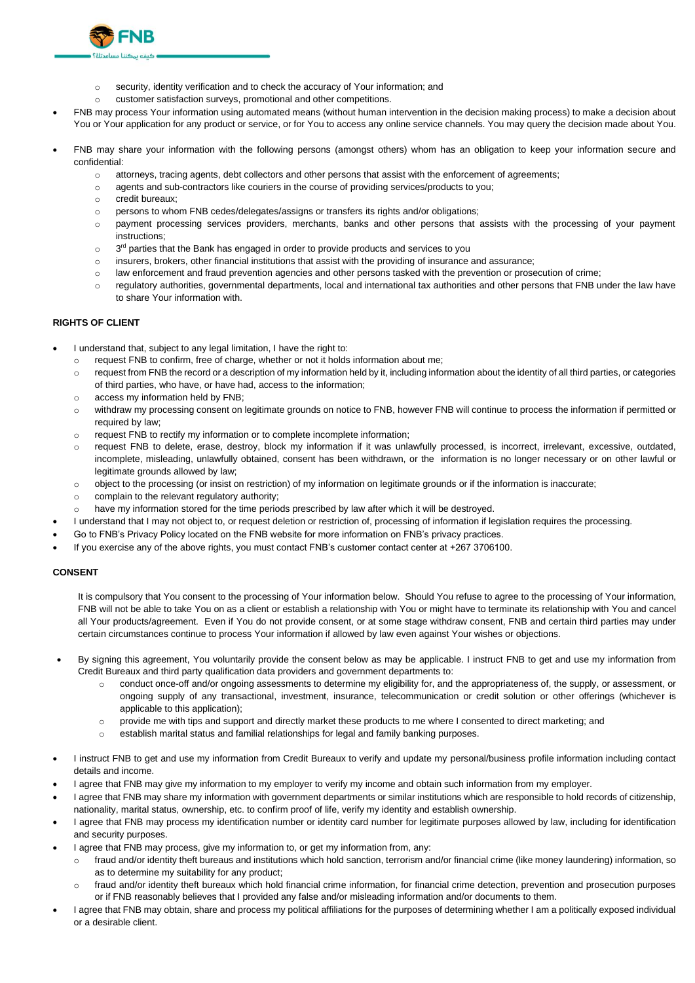

- o customer satisfaction surveys, promotional and other competitions.
- FNB may process Your information using automated means (without human intervention in the decision making process) to make a decision about You or Your application for any product or service, or for You to access any online service channels. You may query the decision made about You.
- FNB may share your information with the following persons (amongst others) whom has an obligation to keep your information secure and confidential:
	- o attorneys, tracing agents, debt collectors and other persons that assist with the enforcement of agreements;
	- o agents and sub-contractors like couriers in the course of providing services/products to you;
	- o credit bureaux;
	- o persons to whom FNB cedes/delegates/assigns or transfers its rights and/or obligations;
	- o payment processing services providers, merchants, banks and other persons that assists with the processing of your payment instructions;
	- $\circ$ 3<sup>rd</sup> parties that the Bank has engaged in order to provide products and services to you
	- o insurers, brokers, other financial institutions that assist with the providing of insurance and assurance;
	- o law enforcement and fraud prevention agencies and other persons tasked with the prevention or prosecution of crime;
	- $\circ$  regulatory authorities, governmental departments, local and international tax authorities and other persons that FNB under the law have to share Your information with.

### **RIGHTS OF CLIENT**

- I understand that, subject to any legal limitation, I have the right to:
	- o request FNB to confirm, free of charge, whether or not it holds information about me;
	- o request from FNB the record or a description of my information held by it, including information about the identity of all third parties, or categories of third parties, who have, or have had, access to the information;
	- o access my information held by FNB;
	- o withdraw my processing consent on legitimate grounds on notice to FNB, however FNB will continue to process the information if permitted or required by law:
	- o request FNB to rectify my information or to complete incomplete information;
	- o request FNB to delete, erase, destroy, block my information if it was unlawfully processed, is incorrect, irrelevant, excessive, outdated, incomplete, misleading, unlawfully obtained, consent has been withdrawn, or the information is no longer necessary or on other lawful or legitimate grounds allowed by law;
	- o object to the processing (or insist on restriction) of my information on legitimate grounds or if the information is inaccurate;
	- o complain to the relevant regulatory authority;
	- o have my information stored for the time periods prescribed by law after which it will be destroyed.
- I understand that I may not object to, or request deletion or restriction of, processing of information if legislation requires the processing.
- Go to FNB's Privacy Policy located on the FNB website for more information on FNB's privacy practices.
- If you exercise any of the above rights, you must contact FNB's customer contact center at +267 3706100.

### **CONSENT**

It is compulsory that You consent to the processing of Your information below. Should You refuse to agree to the processing of Your information, FNB will not be able to take You on as a client or establish a relationship with You or might have to terminate its relationship with You and cancel all Your products/agreement. Even if You do not provide consent, or at some stage withdraw consent, FNB and certain third parties may under certain circumstances continue to process Your information if allowed by law even against Your wishes or objections.

- By signing this agreement, You voluntarily provide the consent below as may be applicable. I instruct FNB to get and use my information from Credit Bureaux and third party qualification data providers and government departments to:
	- o conduct once-off and/or ongoing assessments to determine my eligibility for, and the appropriateness of, the supply, or assessment, or ongoing supply of any transactional, investment, insurance, telecommunication or credit solution or other offerings (whichever is applicable to this application);
	- o provide me with tips and support and directly market these products to me where I consented to direct marketing; and
	- o establish marital status and familial relationships for legal and family banking purposes.
- I instruct FNB to get and use my information from Credit Bureaux to verify and update my personal/business profile information including contact details and income.
- I agree that FNB may give my information to my employer to verify my income and obtain such information from my employer.
- I agree that FNB may share my information with government departments or similar institutions which are responsible to hold records of citizenship, nationality, marital status, ownership, etc. to confirm proof of life, verify my identity and establish ownership.
- I agree that FNB may process my identification number or identity card number for legitimate purposes allowed by law, including for identification and security purposes.
- I agree that FNB may process, give my information to, or get my information from, any:
	- o fraud and/or identity theft bureaus and institutions which hold sanction, terrorism and/or financial crime (like money laundering) information, so as to determine my suitability for any product;
	- o fraud and/or identity theft bureaux which hold financial crime information, for financial crime detection, prevention and prosecution purposes or if FNB reasonably believes that I provided any false and/or misleading information and/or documents to them.
- I agree that FNB may obtain, share and process my political affiliations for the purposes of determining whether I am a politically exposed individual or a desirable client.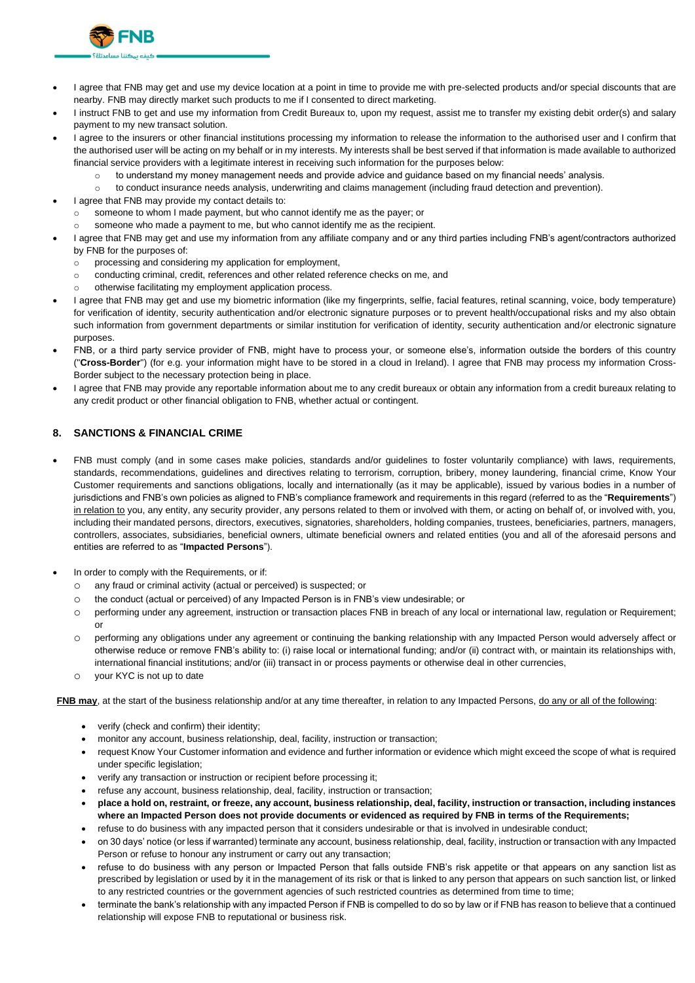

- I agree that FNB may get and use my device location at a point in time to provide me with pre-selected products and/or special discounts that are nearby. FNB may directly market such products to me if I consented to direct marketing.
- I instruct FNB to get and use my information from Credit Bureaux to, upon my request, assist me to transfer my existing debit order(s) and salary payment to my new transact solution.
- I agree to the insurers or other financial institutions processing my information to release the information to the authorised user and I confirm that the authorised user will be acting on my behalf or in my interests. My interests shall be best served if that information is made available to authorized financial service providers with a legitimate interest in receiving such information for the purposes below:
	- $\circ$  to understand my money management needs and provide advice and guidance based on my financial needs' analysis.
	- o to conduct insurance needs analysis, underwriting and claims management (including fraud detection and prevention).
- I agree that FNB may provide my contact details to:
- $\circ$  someone to whom I made payment, but who cannot identify me as the payer; or
	- someone who made a payment to me, but who cannot identify me as the recipient.
- I agree that FNB may get and use my information from any affiliate company and or any third parties including FNB's agent/contractors authorized by FNB for the purposes of:
	- o processing and considering my application for employment,
	- o conducting criminal, credit, references and other related reference checks on me, and
	- otherwise facilitating my employment application process.
- I agree that FNB may get and use my biometric information (like my fingerprints, selfie, facial features, retinal scanning, voice, body temperature) for verification of identity, security authentication and/or electronic signature purposes or to prevent health/occupational risks and my also obtain such information from government departments or similar institution for verification of identity, security authentication and/or electronic signature purposes.
- FNB, or a third party service provider of FNB, might have to process your, or someone else's, information outside the borders of this country ("**Cross-Border**") (for e.g. your information might have to be stored in a cloud in Ireland). I agree that FNB may process my information Cross-Border subject to the necessary protection being in place.
- I agree that FNB may provide any reportable information about me to any credit bureaux or obtain any information from a credit bureaux relating to any credit product or other financial obligation to FNB, whether actual or contingent.

### **8. SANCTIONS & FINANCIAL CRIME**

- FNB must comply (and in some cases make policies, standards and/or guidelines to foster voluntarily compliance) with laws, requirements, standards, recommendations, guidelines and directives relating to terrorism, corruption, bribery, money laundering, financial crime, Know Your Customer requirements and sanctions obligations, locally and internationally (as it may be applicable), issued by various bodies in a number of jurisdictions and FNB's own policies as aligned to FNB's compliance framework and requirements in this regard (referred to as the "**Requirements**") in relation to you, any entity, any security provider, any persons related to them or involved with them, or acting on behalf of, or involved with, you, including their mandated persons, directors, executives, signatories, shareholders, holding companies, trustees, beneficiaries, partners, managers, controllers, associates, subsidiaries, beneficial owners, ultimate beneficial owners and related entities (you and all of the aforesaid persons and entities are referred to as "**Impacted Persons**").
- In order to comply with the Requirements, or if:
	- o any fraud or criminal activity (actual or perceived) is suspected; or
	- o the conduct (actual or perceived) of any Impacted Person is in FNB's view undesirable; or
	- o performing under any agreement, instruction or transaction places FNB in breach of any local or international law, regulation or Requirement; or
	- o performing any obligations under any agreement or continuing the banking relationship with any Impacted Person would adversely affect or otherwise reduce or remove FNB's ability to: (i) raise local or international funding; and/or (ii) contract with, or maintain its relationships with, international financial institutions; and/or (iii) transact in or process payments or otherwise deal in other currencies,
	- o your KYC is not up to date

**FNB may**, at the start of the business relationship and/or at any time thereafter, in relation to any Impacted Persons, do any or all of the following:

- verify (check and confirm) their identity;
- monitor any account, business relationship, deal, facility, instruction or transaction;
- request Know Your Customer information and evidence and further information or evidence which might exceed the scope of what is required under specific legislation;
- verify any transaction or instruction or recipient before processing it;
- refuse any account, business relationship, deal, facility, instruction or transaction;
- **place a hold on, restraint, or freeze, any account, business relationship, deal, facility, instruction or transaction, including instances where an Impacted Person does not provide documents or evidenced as required by FNB in terms of the Requirements;**
- refuse to do business with any impacted person that it considers undesirable or that is involved in undesirable conduct;
- on 30 days' notice (or less if warranted) terminate any account, business relationship, deal, facility, instruction or transaction with any Impacted Person or refuse to honour any instrument or carry out any transaction;
- refuse to do business with any person or Impacted Person that falls outside FNB's risk appetite or that appears on any sanction list as prescribed by legislation or used by it in the management of its risk or that is linked to any person that appears on such sanction list, or linked to any restricted countries or the government agencies of such restricted countries as determined from time to time;
- terminate the bank's relationship with any impacted Person if FNB is compelled to do so by law or if FNB has reason to believe that a continued relationship will expose FNB to reputational or business risk.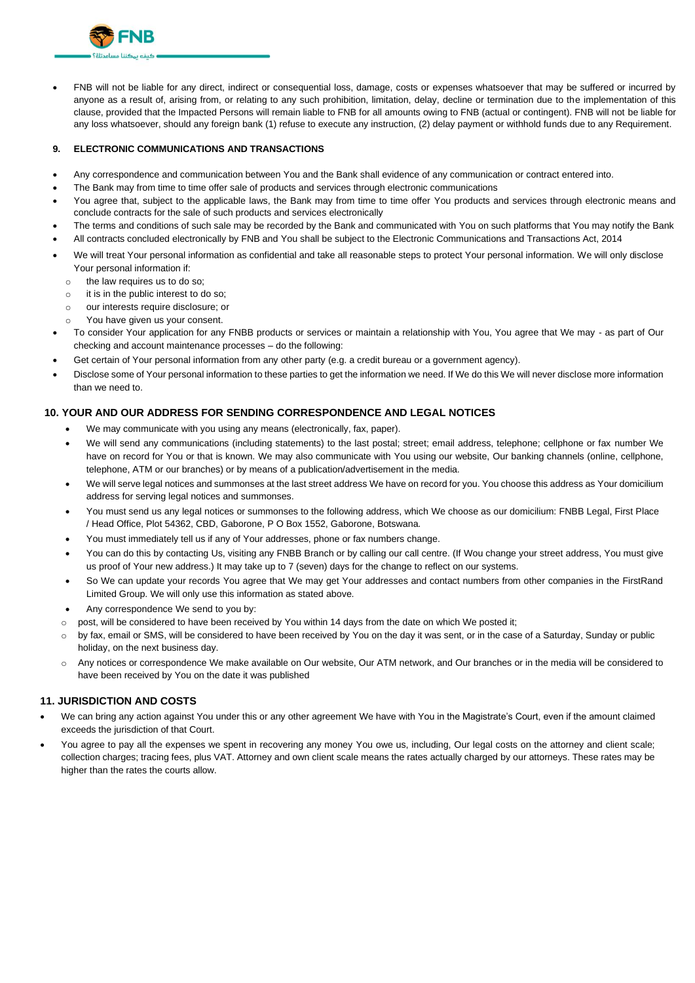

• FNB will not be liable for any direct, indirect or consequential loss, damage, costs or expenses whatsoever that may be suffered or incurred by anyone as a result of, arising from, or relating to any such prohibition, limitation, delay, decline or termination due to the implementation of this clause, provided that the Impacted Persons will remain liable to FNB for all amounts owing to FNB (actual or contingent). FNB will not be liable for any loss whatsoever, should any foreign bank (1) refuse to execute any instruction, (2) delay payment or withhold funds due to any Requirement.

### **9. ELECTRONIC COMMUNICATIONS AND TRANSACTIONS**

- Any correspondence and communication between You and the Bank shall evidence of any communication or contract entered into.
- The Bank may from time to time offer sale of products and services through electronic communications
- You agree that, subject to the applicable laws, the Bank may from time to time offer You products and services through electronic means and conclude contracts for the sale of such products and services electronically
- The terms and conditions of such sale may be recorded by the Bank and communicated with You on such platforms that You may notify the Bank
- All contracts concluded electronically by FNB and You shall be subject to the Electronic Communications and Transactions Act, 2014
- We will treat Your personal information as confidential and take all reasonable steps to protect Your personal information. We will only disclose Your personal information if:
	- o the law requires us to do so;
	- o it is in the public interest to do so;
	- o our interests require disclosure; or
	- You have given us your consent.
- To consider Your application for any FNBB products or services or maintain a relationship with You, You agree that We may as part of Our checking and account maintenance processes – do the following:
- Get certain of Your personal information from any other party (e.g. a credit bureau or a government agency).
- Disclose some of Your personal information to these parties to get the information we need. If We do this We will never disclose more information than we need to.

## **10. YOUR AND OUR ADDRESS FOR SENDING CORRESPONDENCE AND LEGAL NOTICES**

- We may communicate with you using any means (electronically, fax, paper).
- We will send any communications (including statements) to the last postal; street; email address, telephone; cellphone or fax number We have on record for You or that is known. We may also communicate with You using our website, Our banking channels (online, cellphone, telephone, ATM or our branches) or by means of a publication/advertisement in the media.
- We will serve legal notices and summonses at the last street address We have on record for you. You choose this address as Your domicilium address for serving legal notices and summonses.
- You must send us any legal notices or summonses to the following address, which We choose as our domicilium: FNBB Legal, First Place / Head Office, Plot 54362, CBD, Gaborone, P O Box 1552, Gaborone, Botswana.
- You must immediately tell us if any of Your addresses, phone or fax numbers change.
- You can do this by contacting Us, visiting any FNBB Branch or by calling our call centre. (If Wou change your street address, You must give us proof of Your new address.) It may take up to 7 (seven) days for the change to reflect on our systems.
- So We can update your records You agree that We may get Your addresses and contact numbers from other companies in the FirstRand Limited Group. We will only use this information as stated above.
- Any correspondence We send to you by:
- post, will be considered to have been received by You within 14 days from the date on which We posted it;
- by fax, email or SMS, will be considered to have been received by You on the day it was sent, or in the case of a Saturday, Sunday or public holiday, on the next business day.
- o Any notices or correspondence We make available on Our website, Our ATM network, and Our branches or in the media will be considered to have been received by You on the date it was published

### **11. JURISDICTION AND COSTS**

- We can bring any action against You under this or any other agreement We have with You in the Magistrate's Court, even if the amount claimed exceeds the jurisdiction of that Court.
- You agree to pay all the expenses we spent in recovering any money You owe us, including, Our legal costs on the attorney and client scale; collection charges; tracing fees, plus VAT. Attorney and own client scale means the rates actually charged by our attorneys. These rates may be higher than the rates the courts allow.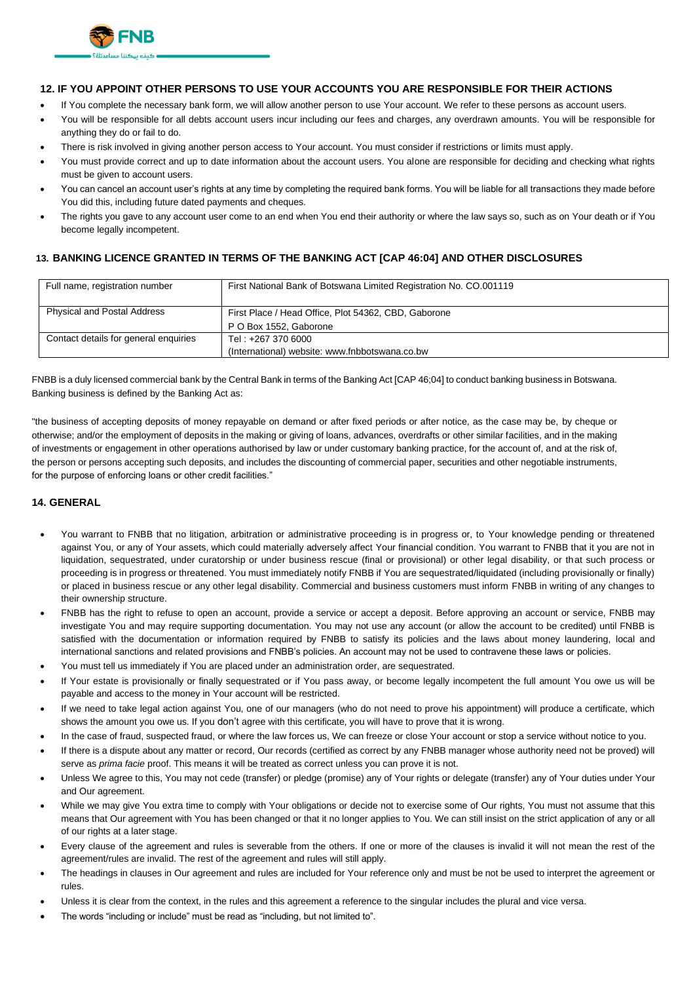

## **12. IF YOU APPOINT OTHER PERSONS TO USE YOUR ACCOUNTS YOU ARE RESPONSIBLE FOR THEIR ACTIONS**

- If You complete the necessary bank form, we will allow another person to use Your account. We refer to these persons as account users.
- You will be responsible for all debts account users incur including our fees and charges, any overdrawn amounts. You will be responsible for anything they do or fail to do.
- There is risk involved in giving another person access to Your account. You must consider if restrictions or limits must apply.
- You must provide correct and up to date information about the account users. You alone are responsible for deciding and checking what rights must be given to account users.
- You can cancel an account user's rights at any time by completing the required bank forms. You will be liable for all transactions they made before You did this, including future dated payments and cheques.
- The rights you gave to any account user come to an end when You end their authority or where the law says so, such as on Your death or if You become legally incompetent.

# **13. BANKING LICENCE GRANTED IN TERMS OF THE BANKING ACT [CAP 46:04] AND OTHER DISCLOSURES**

| Full name, registration number        | First National Bank of Botswana Limited Registration No. CO.001119 |  |  |  |  |  |
|---------------------------------------|--------------------------------------------------------------------|--|--|--|--|--|
| <b>Physical and Postal Address</b>    | First Place / Head Office, Plot 54362, CBD, Gaborone               |  |  |  |  |  |
|                                       | P O Box 1552, Gaborone                                             |  |  |  |  |  |
| Contact details for general enquiries | Tel: +267 370 6000                                                 |  |  |  |  |  |
|                                       | (International) website: www.fnbbotswana.co.bw                     |  |  |  |  |  |

FNBB is a duly licensed commercial bank by the Central Bank in terms of the Banking Act [CAP 46;04] to conduct banking business in Botswana. Banking business is defined by the Banking Act as:

"the business of accepting deposits of money repayable on demand or after fixed periods or after notice, as the case may be, by cheque or otherwise; and/or the employment of deposits in the making or giving of loans, advances, overdrafts or other similar facilities, and in the making of investments or engagement in other operations authorised by law or under customary banking practice, for the account of, and at the risk of, the person or persons accepting such deposits, and includes the discounting of commercial paper, securities and other negotiable instruments, for the purpose of enforcing loans or other credit facilities."

## **14. GENERAL**

- You warrant to FNBB that no litigation, arbitration or administrative proceeding is in progress or, to Your knowledge pending or threatened against You, or any of Your assets, which could materially adversely affect Your financial condition. You warrant to FNBB that it you are not in liquidation, sequestrated, under curatorship or under business rescue (final or provisional) or other legal disability, or that such process or proceeding is in progress or threatened. You must immediately notify FNBB if You are sequestrated/liquidated (including provisionally or finally) or placed in business rescue or any other legal disability. Commercial and business customers must inform FNBB in writing of any changes to their ownership structure.
- FNBB has the right to refuse to open an account, provide a service or accept a deposit. Before approving an account or service, FNBB may investigate You and may require supporting documentation. You may not use any account (or allow the account to be credited) until FNBB is satisfied with the documentation or information required by FNBB to satisfy its policies and the laws about money laundering, local and international sanctions and related provisions and FNBB's policies. An account may not be used to contravene these laws or policies.
- You must tell us immediately if You are placed under an administration order, are sequestrated.
- If Your estate is provisionally or finally sequestrated or if You pass away, or become legally incompetent the full amount You owe us will be payable and access to the money in Your account will be restricted.
- If we need to take legal action against You, one of our managers (who do not need to prove his appointment) will produce a certificate, which shows the amount you owe us. If you don't agree with this certificate, you will have to prove that it is wrong.
- In the case of fraud, suspected fraud, or where the law forces us, We can freeze or close Your account or stop a service without notice to you.
- If there is a dispute about any matter or record, Our records (certified as correct by any FNBB manager whose authority need not be proved) will serve as *prima facie* proof. This means it will be treated as correct unless you can prove it is not.
- Unless We agree to this, You may not cede (transfer) or pledge (promise) any of Your rights or delegate (transfer) any of Your duties under Your and Our agreement.
- While we may give You extra time to comply with Your obligations or decide not to exercise some of Our rights, You must not assume that this means that Our agreement with You has been changed or that it no longer applies to You. We can still insist on the strict application of any or all of our rights at a later stage.
- Every clause of the agreement and rules is severable from the others. If one or more of the clauses is invalid it will not mean the rest of the agreement/rules are invalid. The rest of the agreement and rules will still apply.
- The headings in clauses in Our agreement and rules are included for Your reference only and must be not be used to interpret the agreement or rules.
- Unless it is clear from the context, in the rules and this agreement a reference to the singular includes the plural and vice versa.
- The words "including or include" must be read as "including, but not limited to".